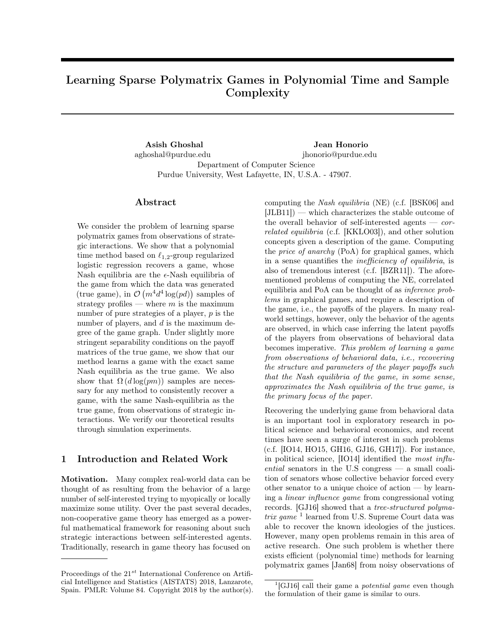# <span id="page-0-1"></span>Learning Sparse Polymatrix Games in Polynomial Time and Sample Complexity

Asish Ghoshal aghoshal@purdue.edu Jean Honorio jhonorio@purdue.edu Department of Computer Science Purdue University, West Lafayette, IN, U.S.A. - 47907.

#### Abstract

<span id="page-0-2"></span>We consider the problem of learning sparse polymatrix games from observations of strategic interactions. We show that a polynomial time method based on  $\ell_{1,2}$ -group regularized logistic regression recovers a game, whose Nash equilibria are the  $\epsilon$ -Nash equilibria of the game from which the data was generated  $(\text{true game}), \text{ in } \mathcal{O}(m^4 d^4 \log (pd)) \text{ samples of }$ strategy profiles — where *m* is the maximum number of pure strategies of a player, *p* is the number of players, and *d* is the maximum degree of the game graph. Under slightly more stringent separability conditions on the payoff matrices of the true game, we show that our method learns a game with the exact same Nash equilibria as the true game. We also show that  $\Omega(d \log(pm))$  samples are necessary for any method to consistently recover a game, with the same Nash-equilibria as the true game, from observations of strategic interactions. We verify our theoretical results through simulation experiments.

## <span id="page-0-3"></span>1 Introduction and Related Work

Motivation. Many complex real-world data can be thought of as resulting from the behavior of a large number of self-interested trying to myopically or locally maximize some utility. Over the past several decades, non-cooperative game theory has emerged as a powerful mathematical framework for reasoning about such strategic interactions between self-interested agents. Traditionally, research in game theory has focused on

computing the *Nash equilibria* (NE) (c.f. [\[BSK06\]](#page-8-0) and  $[JLB11]$  — which characterizes the stable outcome of the overall behavior of self-interested agents — *correlated equilibria* (c.f. [\[KKLO03\]](#page-8-2)), and other solution concepts given a description of the game. Computing the *price of anarchy* (PoA) for graphical games, which in a sense quantifies the *inefficiency of equilibria*, is also of tremendous interest (c.f. [\[BZR11\]](#page-8-3)). The aforementioned problems of computing the NE, correlated equilibria and PoA can be thought of as *inference problems* in graphical games, and require a description of the game, i.e., the payoffs of the players. In many realworld settings, however, only the behavior of the agents are observed, in which case inferring the latent payoffs of the players from observations of behavioral data becomes imperative. *This problem of learning a game from observations of behavioral data, i.e., recovering the structure and parameters of the player payo*ff*s such that the Nash equilibria of the game, in some sense, approximates the Nash equilibria of the true game, is the primary focus of the paper.*

Recovering the underlying game from behavioral data is an important tool in exploratory research in political science and behavioral economics, and recent times have seen a surge of interest in such problems (c.f. [\[IO14,](#page-8-4) [HO15,](#page-8-5) [GH16,](#page-8-6) [GJ16,](#page-8-7) [GH17\]](#page-8-8)). For instance, in political science, [\[IO14\]](#page-8-4) identified the *most influential* senators in the U.S congress — a small coalition of senators whose collective behavior forced every other senator to a unique choice of action — by learning a *linear influence game* from congressional voting records. [\[GJ16\]](#page-8-7) showed that a *tree-structured polymatrix game* <sup>[1](#page-0-0)</sup> learned from U.S. Supreme Court data was able to recover the known ideologies of the justices. However, many open problems remain in this area of active research. One such problem is whether there exists efficient (polynomial time) methods for learning polymatrix games [\[Jan68\]](#page-8-9) from noisy observations of

Proceedings of the 21*st* International Conference on Artificial Intelligence and Statistics (AISTATS) 2018, Lanzarote, Spain. PMLR: Volume 84. Copyright 2018 by the author(s).

<span id="page-0-0"></span><sup>1</sup>[\[GJ16\]](#page-8-7) call their game a *potential game* even though the formulation of their game is similar to ours.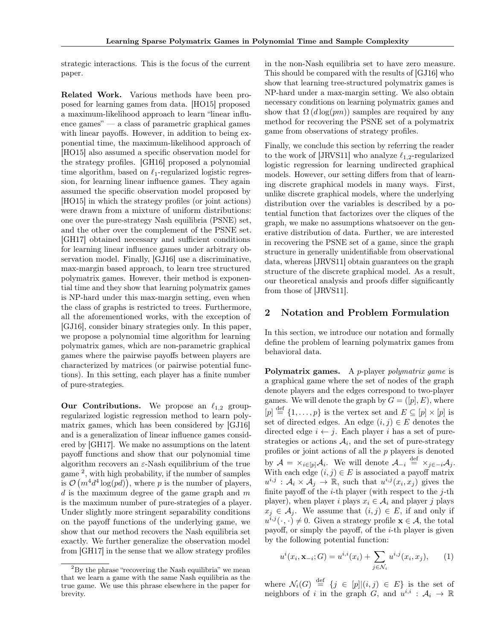strategic interactions. This is the focus of the current paper.

Related Work. Various methods have been proposed for learning games from data. [\[HO15\]](#page-8-5) proposed a maximum-likelihood approach to learn "linear influence games" — a class of parametric graphical games with linear payoffs. However, in addition to being exponential time, the maximum-likelihood approach of [\[HO15\]](#page-8-5) also assumed a specific observation model for the strategy profiles. [\[GH16\]](#page-8-6) proposed a polynomial time algorithm, based on  $\ell_1$ -regularized logistic regression, for learning linear influence games. They again assumed the specific observation model proposed by [\[HO15\]](#page-8-5) in which the strategy profiles (or joint actions) were drawn from a mixture of uniform distributions: one over the pure-strategy Nash equilibria (PSNE) set, and the other over the complement of the PSNE set. [\[GH17\]](#page-8-8) obtained necessary and sufficient conditions for learning linear influence games under arbitrary observation model. Finally, [\[GJ16\]](#page-8-7) use a discriminative, max-margin based approach, to learn tree structured polymatrix games. However, their method is exponential time and they show that learning polymatrix games is NP-hard under this max-margin setting, even when the class of graphs is restricted to trees. Furthermore, all the aforementioned works, with the exception of [\[GJ16\]](#page-8-7), consider binary strategies only. In this paper, we propose a polynomial time algorithm for learning polymatrix games, which are non-parametric graphical games where the pairwise payoffs between players are characterized by matrices (or pairwise potential functions). In this setting, each player has a finite number of pure-strategies.

**Our Contributions.** We propose an  $\ell_{1,2}$  groupregularized logistic regression method to learn polymatrix games, which has been considered by [\[GJ16\]](#page-8-7) and is a generalization of linear influence games considered by [\[GH17\]](#page-8-8). We make no assumptions on the latent payoff functions and show that our polynomial time algorithm recovers an  $\varepsilon$ -Nash equilibrium of the true game  $^2$  $^2$ , with high probability, if the number of samples is  $\mathcal{O}(m^4d^4 \log(pd))$ , where *p* is the number of players, *d* is the maximum degree of the game graph and *m* is the maximum number of pure-strategies of a player. Under slightly more stringent separability conditions on the payoff functions of the underlying game, we show that our method recovers the Nash equilibria set exactly. We further generalize the observation model from [\[GH17\]](#page-8-8) in the sense that we allow strategy profiles

in the non-Nash equilibria set to have zero measure. This should be compared with the results of [\[GJ16\]](#page-8-7) who show that learning tree-structured polymatrix games is NP-hard under a max-margin setting. We also obtain necessary conditions on learning polymatrix games and show that  $\Omega(d \log (pm))$  samples are required by any method for recovering the PSNE set of a polymatrix game from observations of strategy profiles.

Finally, we conclude this section by referring the reader to the work of [\[JRVS11\]](#page-8-10) who analyze  $\ell_{1,2}$ -regularized logistic regression for learning undirected graphical models. However, our setting differs from that of learning discrete graphical models in many ways. First, unlike discrete graphical models, where the underlying distribution over the variables is described by a potential function that factorizes over the cliques of the graph, we make no assumptions whatsoever on the generative distribution of data. Further, we are interested in recovering the PSNE set of a game, since the graph structure in generally unidentifiable from observational data, whereas [\[JRVS11\]](#page-8-10) obtain guarantees on the graph structure of the discrete graphical model. As a result, our theoretical analysis and proofs differ significantly from those of [\[JRVS11\]](#page-8-10).

## 2 Notation and Problem Formulation

In this section, we introduce our notation and formally define the problem of learning polymatrix games from behavioral data.

Polymatrix games. A *p*-player *polymatrix game* is a graphical game where the set of nodes of the graph denote players and the edges correspond to two-player games. We will denote the graph by  $G = ([p], E)$ , where  $[p] \stackrel{\text{def}}{=} \{1, \ldots, p\}$  is the vertex set and  $E \subseteq [p] \times [p]$  is set of directed edges. An edge  $(i, j) \in E$  denotes the directed edge  $i \leftarrow j$ . Each player *i* has a set of purestrategies or actions  $A_i$ , and the set of pure-strategy profiles or joint actions of all the *p* players is denoted by  $A = \times_{i \in [p]} A_i$ . We will denote  $A_{-i} \stackrel{\text{def}}{=} \times_{j \in -i} A_j$ . With each edge  $(i, j) \in E$  is associated a payoff matrix  $u^{i,j}$ :  $\mathcal{A}_i \times \mathcal{A}_j \to \mathbb{R}$ , such that  $u^{i,j}(x_i, x_j)$  gives the finite payoff of the *i*-th player (with respect to the *j*-th player), when player *i* plays  $x_i \in A_i$  and player *j* plays  $x_j \in A_j$ . We assume that  $(i, j) \in E$ , if and only if  $u^{i,j}(\cdot,\cdot) \neq 0$ . Given a strategy profile  $\mathbf{x} \in \mathcal{A}$ , the total payoff, or simply the payoff, of the *i*-th player is given by the following potential function:

<span id="page-1-1"></span>
$$
u^{i}(x_{i}, \mathbf{x}_{-i}; G) = u^{i,i}(x_{i}) + \sum_{j \in \mathcal{N}_{i}} u^{i,j}(x_{i}, x_{j}), \qquad (1)
$$

where  $\mathcal{N}_i(G) \stackrel{\text{def}}{=} \{j \in [p] | (i,j) \in E\}$  is the set of neighbors of *i* in the graph *G*, and  $u^{i,i}$  :  $A_i \rightarrow \mathbb{R}$ 

<span id="page-1-0"></span> ${}^{2}$ By the phrase "recovering the Nash equilibria" we mean that we learn a game with the same Nash equilibria as the true game. We use this phrase elsewhere in the paper for brevity.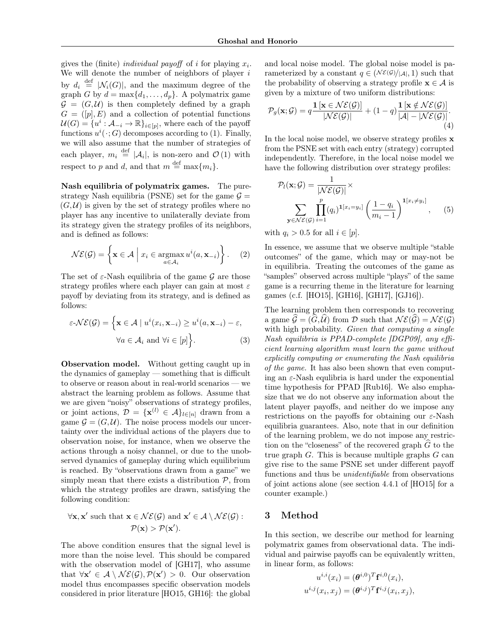gives the (finite) *individual payoff* of *i* for playing  $x_i$ . We will denote the number of neighbors of player *i* by  $d_i \stackrel{\text{def}}{=} |\mathcal{N}_i(G)|$ , and the maximum degree of the graph *G* by  $d = \max\{d_1, \ldots, d_n\}$ . A polymatrix game  $G = (G, \mathcal{U})$  is then completely defined by a graph  $G = ([p], E)$  and a collection of potential functions  $U(G) = \{u^i : A_{-i} \to \mathbb{R}\}_{i \in [p]},$  where each of the payoff functions  $u^i(\cdot; G)$  decomposes according to [\(1\)](#page-1-1). Finally, we will also assume that the number of strategies of each player,  $m_i \stackrel{\text{def}}{=} |\mathcal{A}_i|$ , is non-zero and  $\mathcal{O}(1)$  with respect to *p* and *d*, and that  $m \stackrel{\text{def}}{=} \max\{m_i\}.$ 

Nash equilibria of polymatrix games. The purestrategy Nash equilibria (PSNE) set for the game  $\mathcal{G} =$  $(G, U)$  is given by the set of strategy profiles where no player has any incentive to unilaterally deviate from its strategy given the strategy profiles of its neighbors, and is defined as follows:

$$
\mathcal{NE}(\mathcal{G}) = \left\{ \mathbf{x} \in \mathcal{A} \mid x_i \in \operatorname*{argmax}_{a \in \mathcal{A}_i} u^i(a, \mathbf{x}_{-i}) \right\}.
$$
 (2)

The set of  $\varepsilon$ -Nash equilibria of the game  $\mathcal G$  are those strategy profiles where each player can gain at most  $\varepsilon$ payoff by deviating from its strategy, and is defined as follows:

$$
\varepsilon \text{-} \mathcal{NE}(\mathcal{G}) = \left\{ \mathbf{x} \in \mathcal{A} \mid u^i(x_i, \mathbf{x}_{-i}) \ge u^i(a, \mathbf{x}_{-i}) - \varepsilon, \right. \\
\forall a \in \mathcal{A}_i \text{ and } \forall i \in [p] \right\}.
$$
\n(3)

Observation model. Without getting caught up in the dynamics of gameplay — something that is difficult to observe or reason about in real-world scenarios — we abstract the learning problem as follows. Assume that we are given "noisy" observations of strategy profiles, or joint actions,  $\mathcal{D} = {\mathbf{x}^{(l)} \in \mathcal{A}}_{l \in [n]}$  drawn from a game  $\mathcal{G} = (G, \mathcal{U})$ . The noise process models our uncertainty over the individual actions of the players due to observation noise, for instance, when we observe the actions through a noisy channel, or due to the unobserved dynamics of gameplay during which equilibrium is reached. By "observations drawn from a game" we simply mean that there exists a distribution *P*, from which the strategy profiles are drawn, satisfying the following condition:

$$
\forall \mathbf{x}, \mathbf{x}' \text{ such that } \mathbf{x} \in \mathcal{NE}(\mathcal{G}) \text{ and } \mathbf{x}' \in \mathcal{A} \setminus \mathcal{NE}(\mathcal{G}):
$$

$$
\mathcal{P}(\mathbf{x}) > \mathcal{P}(\mathbf{x}').
$$

The above condition ensures that the signal level is more than the noise level. This should be compared with the observation model of [\[GH17\]](#page-8-8), who assume that  $\forall \mathbf{x}' \in \mathcal{A} \setminus \mathcal{NE}(\mathcal{G}), \mathcal{P}(\mathbf{x}') > 0$ . Our observation model thus encompasses specific observation models considered in prior literature [\[HO15,](#page-8-5) [GH16\]](#page-8-6): the global and local noise model. The global noise model is parameterized by a constant  $q \in (\mathcal{NE}(G)/|A|, 1)$  such that the probability of observing a strategy profile  $x \in A$  is given by a mixture of two uniform distributions:

<span id="page-2-0"></span>
$$
\mathcal{P}_g(\mathbf{x}; \mathcal{G}) = q \frac{\mathbf{1}\left[\mathbf{x} \in \mathcal{NE}(\mathcal{G})\right]}{|\mathcal{NE}(\mathcal{G})|} + (1 - q) \frac{\mathbf{1}\left[\mathbf{x} \notin \mathcal{NE}(\mathcal{G})\right]}{|\mathcal{A}| - |\mathcal{NE}(\mathcal{G})|}.
$$
\n(4)

In the local noise model, we observe strategy profiles x from the PSNE set with each entry (strategy) corrupted independently. Therefore, in the local noise model we have the following distribution over strategy profiles:

$$
\mathcal{P}_l(\mathbf{x}; \mathcal{G}) = \frac{1}{|\mathcal{NE}(\mathcal{G})|} \times \sum_{\mathbf{y} \in \mathcal{NE}(\mathcal{G})} \prod_{i=1}^p (q_i)^{\mathbf{1}[x_i = y_i]} \left(\frac{1 - q_i}{m_i - 1}\right)^{\mathbf{1}[x_i \neq y_i]}, \quad (5)
$$

with  $q_i > 0.5$  for all  $i \in [p]$ .

In essence, we assume that we observe multiple "stable outcomes" of the game, which may or may-not be in equilibria. Treating the outcomes of the game as "samples" observed across multiple "plays" of the same game is a recurring theme in the literature for learning games (c.f. [\[HO15\]](#page-8-5), [\[GH16\]](#page-8-6), [\[GH17\]](#page-8-8), [\[GJ16\]](#page-8-7)).

The learning problem then corresponds to recovering a game  $\mathcal{G} = (G, \mathcal{U})$  from  $\mathcal{D}$  such that  $\mathcal{NE}(\mathcal{G}) = \mathcal{NE}(\mathcal{G})$ with high probability. *Given that computing a single Nash equilibria is PPAD-complete [\[DGP09\]](#page-8-11), any e*ffi*cient learning algorithm must learn the game without explicitly computing or enumerating the Nash equilibria of the game.* It has also been shown that even computing an  $\varepsilon$ -Nash equlibria is hard under the exponential time hypothesis for PPAD [\[Rub16\]](#page-8-12). We also emphasize that we do not observe any information about the latent player payoffs, and neither do we impose any restrictions on the payoffs for obtaining our  $\varepsilon$ -Nash equilibria guarantees. Also, note that in our definition of the learning problem, we do not impose any restriction on the "closeness" of the recovered graph  $\hat{G}$  to the true graph *G*. This is because multiple graphs *G* can give rise to the same PSNE set under different payoff functions and thus be *unidentifiable* from observations of joint actions alone (see section 4.4.1 of [\[HO15\]](#page-8-5) for a counter example.)

# 3 Method

In this section, we describe our method for learning polymatrix games from observational data. The individual and pairwise payoffs can be equivalently written, in linear form, as follows:

$$
u^{i,i}(x_i) = (\boldsymbol{\theta}^{i,0})^T \mathbf{f}^{i,0}(x_i),
$$
  

$$
u^{i,j}(x_i, x_j) = (\boldsymbol{\theta}^{i,j})^T \mathbf{f}^{i,j}(x_i, x_j),
$$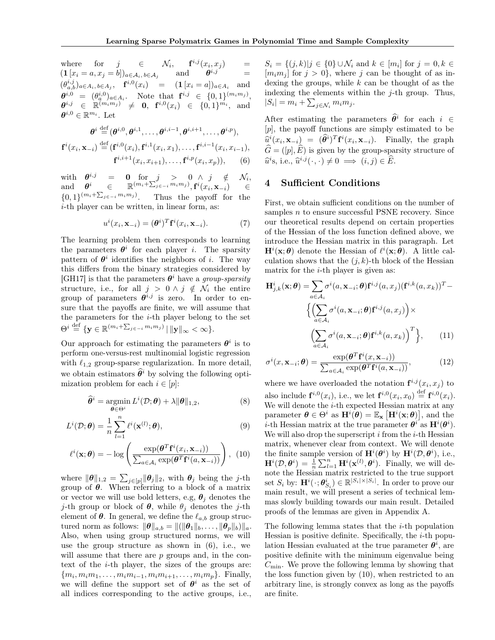where for  $j \in \mathcal{N}_i$ ,  $\mathbf{f}^{i,j}(x_i, x_j) =$  $(1 [x_i = a, x_j = b])_{a \in \mathcal{A}_i, b \in \mathcal{A}_j}$  and  $\theta^{i,j}$  =  $(\theta_{a,b}^{i,j})_{a \in A_i, b \in A_j}$ ,  $\mathbf{f}^{i,0}(x_i) = (\mathbf{1}[x_i = a])_{a \in A_i}$  and  $\theta^{i,0} = (\theta^{i,0}_q)_{a \in A_i}$ . Note that  $\mathbf{f}^{i,j} \in \{0,1\}^{(m_i m_j)},$  $\boldsymbol{\theta}^{i,j} \in \mathbb{R}^{(m_i m_j)} \neq \mathbf{0}, \ \ \mathbf{f}^{i,0}(x_i) \in \{0,1\}^{m_i}, \ \ \text{and}$  $\pmb{\theta}^{i,0} \in \mathbb{R}^{m_i}$  . Let

$$
\boldsymbol{\theta}^i \stackrel{\text{def}}{=} (\boldsymbol{\theta}^{i,0},\boldsymbol{\theta}^{i,1},\dots,\boldsymbol{\theta}^{i,i-1},\boldsymbol{\theta}^{i,i+1},\dots,\boldsymbol{\theta}^{i,p}),
$$

$$
\mathbf{f}^{i}(x_{i}, \mathbf{x}_{-i}) \stackrel{\text{def}}{=} (\mathbf{f}^{i,0}(x_{i}), \mathbf{f}^{i,1}(x_{i}, x_{1}), \dots, \mathbf{f}^{i,i-1}(x_{i}, x_{i-1}), \mathbf{f}^{i,i+1}(x_{i}, x_{i+1}), \dots, \mathbf{f}^{i,p}(x_{i}, x_{p})),
$$
(6)

with  $\theta^{i,j}$  = 0 for  $j > 0 \wedge j \notin \mathcal{N}_i$ ,  $\mathbf{a}$  and  $\boldsymbol{\theta}^{i}$   $\in \mathbb{R}^{(m_{i}+\sum_{j\in -i}^{r}m_{i}m_{j})}, \mathbf{f}^{i}(x_{i}, \mathbf{x}_{-i})$   $\in \mathbb{R}^{r}$  $\{0,1\}^{(m_i+\sum_{j\in-i}m_im_j)}$ . Thus the payoff for the *i*-th player can be written, in linear form, as:

$$
u^{i}(x_{i}, \mathbf{x}_{-i}) = (\boldsymbol{\theta}^{i})^{T} \mathbf{f}^{i}(x_{i}, \mathbf{x}_{-i}).
$$
 (7)

The learning problem then corresponds to learning the parameters  $\theta^i$  for each player *i*. The sparsity pattern of  $\theta^i$  identifies the neighbors of *i*. The way this differs from the binary strategies considered by [\[GH17\]](#page-8-8) is that the parameters  $\theta^i$  have a *group-sparsity* structure, i.e., for all  $j > 0 \land j \notin \mathcal{N}_i$  the entire group of parameters  $\theta^{i,j}$  is zero. In order to ensure that the payoffs are finite, we will assume that the parameters for the *i*-th player belong to the set  $\Theta^i \stackrel{\text{def}}{=} \{ \mathbf{y} \in \mathbb{R}^{(m_i + \sum_{j \in -i} m_i m_j)} \mid ||\mathbf{y}||_{\infty} < \infty \}.$ 

Our approach for estimating the parameters  $\theta^i$  is to perform one-versus-rest multinomial logistic regression with  $\ell_{1,2}$  group-sparse regularization. In more detail, we obtain estimators  $\hat{\theta}^i$  by solving the following optimization problem for each  $i \in [p]$ :

$$
\widehat{\theta}^i = \operatorname*{argmin}_{\boldsymbol{\theta} \in \Theta^i} L^i(\mathcal{D}; \boldsymbol{\theta}) + \lambda \|\boldsymbol{\theta}\|_{1,2},\tag{8}
$$

$$
L^{i}(\mathcal{D};\boldsymbol{\theta}) = \frac{1}{n} \sum_{l=1}^{n} \ell^{i}(\mathbf{x}^{(l)};\boldsymbol{\theta}),
$$
\n(9)

$$
\ell^{i}(\mathbf{x};\boldsymbol{\theta}) = -\log \left( \frac{\exp(\boldsymbol{\theta}^{T} \mathbf{f}^{i}(x_{i}, \mathbf{x}_{-i}))}{\sum_{a \in \mathcal{A}_{i}} \exp(\boldsymbol{\theta}^{T} \mathbf{f}^{i}(a, \mathbf{x}_{-i}))} \right), (10)
$$

where  $\|\boldsymbol{\theta}\|_{1,2} = \sum_{j \in [p]} ||\boldsymbol{\theta}_j||_2$ , with  $\boldsymbol{\theta}_j$  being the *j*-th group of  $\theta$ . When referring to a block of a matrix or vector we will use bold letters, e.g,  $\theta_j$  denotes the *j*-th group or block of  $\theta$ , while  $\theta_j$  denotes the *j*-th element of  $\theta$ . In general, we define the  $\ell_{a,b}$  group structured norm as follows:  $\|\boldsymbol{\theta}\|_{a,b} = \|(\|\boldsymbol{\theta}_1\|_b,\ldots,\|\boldsymbol{\theta}_p\|_b)\|_a$ . Also, when using group structured norms, we will use the group structure as shown in [\(6\)](#page-3-0), i.e., we will assume that there are *p* groups and, in the context of the *i*-th player, the sizes of the groups are:  ${m_i, m_i m_1, \ldots, m_i m_{i-1}, m_i m_{i+1}, \ldots, m_i m_p}$ . Finally, we will define the support set of  $\theta^i$  as the set of all indices corresponding to the active groups, i.e.,

 $S_i = \{(j, k) | j \in \{0\} \cup \mathcal{N}_i \text{ and } k \in [m_i] \text{ for } j = 0, k \in$  $[m_i m_j]$  for  $j > 0$ , where j can be thought of as indexing the groups, while *k* can be thought of as the indexing the elements within the *j*-th group. Thus,  $|S_i| = m_i + \sum_{j \in \mathcal{N}_i} m_i m_j$ .

After estimating the parameters  $\hat{\theta}^i$  for each  $i \in$ [*p*], the payoff functions are simply estimated to be  $\hat{u}^i(x_i, \mathbf{x}_{-i}) = (\hat{\theta}^i)^T \mathbf{f}^i(x_i, \mathbf{x}_{-i}).$  Finally, the graph  $\widehat{G} = ([p], \widehat{E})$  is given by the group-sparsity structure of  $\widehat{u}^i$ s, i.e.,  $\widehat{u}^{i,j}(\cdot,\cdot) \neq 0 \implies (i,j) \in \widehat{E}$ .

# <span id="page-3-0"></span>4 Sufficient Conditions

First, we obtain sufficient conditions on the number of samples *n* to ensure successful PSNE recovery. Since our theoretical results depend on certain properties of the Hessian of the loss function defined above, we introduce the Hessian matrix in this paragraph. Let  $\mathbf{H}^i(\mathbf{x};\boldsymbol{\theta})$  denote the Hessian of  $\ell^i(\mathbf{x};\boldsymbol{\theta})$ . A little calculation shows that the  $(j, k)$ -th block of the Hessian matrix for the *i*-th player is given as:

$$
\mathbf{H}_{j,k}^{i}(\mathbf{x};\boldsymbol{\theta}) = \sum_{a \in \mathcal{A}_{i}} \sigma^{i}(a, \mathbf{x}_{-i};\boldsymbol{\theta}) \mathbf{f}^{i,j}(a, x_{j}) (\mathbf{f}^{i,k}(a, x_{k}))^{T} - \left\{ \left( \sum_{a \in \mathcal{A}_{i}} \sigma^{i}(a, \mathbf{x}_{-i};\boldsymbol{\theta}) \mathbf{f}^{i,j}(a, x_{j}) \right) \times \left( \sum_{a \in \mathcal{A}_{i}} \sigma^{i}(a, \mathbf{x}_{-i};\boldsymbol{\theta}) \mathbf{f}^{i,k}(a, x_{k}) \right)^{T} \right\},
$$
(11)

$$
\sigma^{i}(x, \mathbf{x}_{-i}; \boldsymbol{\theta}) = \frac{\exp(\boldsymbol{\theta}^{T} \mathbf{f}^{i}(x, \mathbf{x}_{-i}))}{\sum_{a \in \mathcal{A}_{i}} \exp(\boldsymbol{\theta}^{T} \mathbf{f}^{i}(a, \mathbf{x}_{-i}))},
$$
(12)

<span id="page-3-2"></span><span id="page-3-1"></span>where we have overloaded the notation  $f^{i,j}(x_i, x_j)$  to also include  $f^{i,0}(x_i)$ , i.e., we let  $f^{i,0}(x_i, x_0) \stackrel{\text{def}}{=} f^{i,0}(x_i)$ . We will denote the *i*-th expected Hessian matrix at any parameter  $\boldsymbol{\theta} \in \Theta^i$  as  $\mathbf{H}^i(\boldsymbol{\theta}) = \mathbb{E}_{\mathbf{x}} [\mathbf{H}^i(\mathbf{x}; \boldsymbol{\theta})]$ , and the *i*-th Hessian matrix at the true parameter  $\theta^i$  as  $H^i(\theta^i)$ . We will also drop the superscript *i* from the *i*-th Hessian matrix, whenever clear from context. We will denote the finite sample version of  $\mathbf{H}^i(\theta^i)$  by  $\mathbf{H}^i(\mathcal{D}, \theta^i)$ , i.e.,  $\mathbf{H}^i(\mathcal{D}, \boldsymbol{\theta}^i) = \frac{1}{n} \sum_{l=1}^n \mathbf{H}^i(\mathbf{x}^{(l)}, \boldsymbol{\theta}^i)$ . Finally, we will denote the Hessian matrix restricted to the true support set  $S_i$  by:  $\mathbf{H}^i(\cdot; \boldsymbol{\theta}_{S_i}^i) \in \mathbb{R}^{|S_i| \times |S_i|}$ . In order to prove our main result, we will present a series of technical lemmas slowly building towards our main result. Detailed proofs of the lemmas are given in Appendix [A.](#page-0-1)

The following lemma states that the *i*-th population Hessian is positive definite. Specifically, the *i*-th population Hessian evaluated at the true parameter  $\theta^i$ , are positive definite with the minimum eigenvalue being  $C_{\text{min}}$ . We prove the following lemma by showing that the loss function given by [\(10\)](#page-3-1), when restricted to an arbitrary line, is strongly convex as long as the payoffs are finite.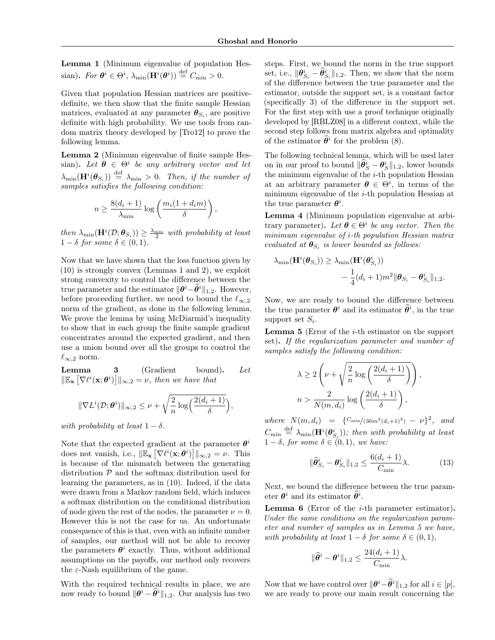<span id="page-4-0"></span>Lemma 1 (Minimum eigenvalue of population Hessian). *For*  $\theta^i \in \Theta^i$ ,  $\lambda_{\min}(\mathbf{H}^i(\theta^i)) \stackrel{\text{def}}{=} C_{\min} > 0$ .

Given that population Hessian matrices are positivedefinite, we then show that the finite sample Hessian matrices, evaluated at any parameter  $\boldsymbol{\theta}_{S_i}$ , are positive definite with high probability. We use tools from random matrix theory developed by [\[Tro12\]](#page-8-13) to prove the following lemma.

<span id="page-4-1"></span>Lemma 2 (Minimum eigenvalue of finite sample Hessian). Let  $\theta \in \Theta^i$  be any arbitrary vector and let  $\lambda_{\min}(\mathbf{H}^i(\boldsymbol{\theta}_{S_i})) \stackrel{\text{def}}{=} \lambda_{\min} > 0$ . Then, if the number of *samples satisfies the following condition:*

$$
n \ge \frac{8(d_i+1)}{\lambda_{\min}} \log \left( \frac{m_i(1+d_i m)}{\delta} \right)
$$

*,*

 $then \ \lambda_{\min}(\mathbf{H}^i(\mathcal{D}; \boldsymbol{\theta}_{S_i})) \geq \frac{\lambda_{\min}}{2} \ with \ probability \ at \ least$  $1 - \delta$  for some  $\delta \in (0, 1)$ *.* 

Now that we have shown that the loss function given by [\(10\)](#page-3-1) is strongly convex (Lemmas [1](#page-4-0) and [2\)](#page-4-1), we exploit strong convexity to control the difference between the true parameter and the estimator  $\|\boldsymbol{\theta}^i - \widehat{\boldsymbol{\theta}}^i\|_{1,2}$ . However, before proceeding further, we need to bound the  $\ell_{\infty,2}$ norm of the gradient, as done in the following lemma. We prove the lemma by using McDiarmid's inequality to show that in each group the finite sample gradient concentrates around the expected gradient, and then use a union bound over all the groups to control the  $\ell_{\infty,2}$  norm.

Lemma 3 (Gradient bound). *Let*  $\|\mathbb{E}_{\mathbf{x}}\left[\nabla \ell^i(\mathbf{x}; \boldsymbol{\theta}^i)\right]\|_{\infty,2} = \nu$ , then we have that

$$
\|\nabla L^{i}(\mathcal{D};\boldsymbol{\theta}^{i})\|_{\infty,2}\leq\nu+\sqrt{\frac{2}{n}\log\left(\frac{2(d_{i}+1)}{\delta}\right)},
$$

*with probability at least*  $1 - \delta$ .

Note that the expected gradient at the parameter  $\theta^i$ does not vanish, i.e.,  $\|\mathbb{E}_{\mathbf{x}}\left[\nabla \ell^i(\mathbf{x}; \boldsymbol{\theta}^i)\right]\|_{\infty,2} = \nu$ . This is because of the mismatch between the generating distribution *P* and the softmax distribution used for learning the parameters, as in [\(10\)](#page-3-1). Indeed, if the data were drawn from a Markov random field, which induces a softmax distribution on the conditional distribution of node given the rest of the nodes, the parameter  $\nu = 0$ . However this is not the case for us. An unfortunate consequence of this is that, even with an infinite number of samples, our method will not be able to recover the parameters  $\theta^i$  exactly. Thus, without additional assumptions on the payoffs, our method only recovers the  $\varepsilon$ -Nash equilibrium of the game.

With the required technical results in place, we are now ready to bound  $\|\theta^i - \hat{\theta}^i\|_{1,2}$ . Our analysis has two

steps. First, we bound the norm in the true support set, i.e.,  $\|\boldsymbol{\theta}_{S_i}^i - \hat{\theta}_{S_i}^i\|_{1,2}$ . Then, we show that the norm of the difference between the true parameter and the estimator, outside the support set, is a constant factor (specifically 3) of the difference in the support set. For the first step with use a proof technique originally developed by [\[RBLZ08\]](#page-8-14) in a different context, while the second step follows from matrix algebra and optimality of the estimator  $\hat{\theta}^i$  for the problem [\(8\)](#page-3-2).

The following technical lemma, which will be used later on in our proof to bound  $\|\hat{\theta}_S^i - \theta_S^i\|_{1,2}$ , lower bounds the minimum eigenvalue of the *i*-th population Hessian at an arbitrary parameter  $\boldsymbol{\theta} \in \Theta^i$ , in terms of the minimum eigenvalue of the *i*-th population Hessian at the true parameter  $\theta^i$ .

Lemma 4 (Minimum population eigenvalue at arbitrary parameter). Let  $\boldsymbol{\theta} \in \Theta^i$  *be any vector. Then the minimum eigenvalue of i-th population Hessian matrix evaluated at*  $\boldsymbol{\theta}_{S_i}$  *is lower bounded as follows:* 

$$
\lambda_{\min}(\mathbf{H}^i(\boldsymbol{\theta}_{S_i})) \geq \lambda_{\min}(\mathbf{H}^i(\boldsymbol{\theta}_{S_i}^i))
$$
  
 
$$
-\frac{1}{4}(d_i+1)m^2 \|\boldsymbol{\theta}_{S_i} - \boldsymbol{\theta}_{S_i}^i\|_{1,2}.
$$

Now, we are ready to bound the difference between the true parameter  $\theta^i$  and its estimator  $\hat{\theta}^i$ , in the true support set *Si*.

<span id="page-4-2"></span>Lemma 5 (Error of the *i*-th estimator on the support set). *If the regularization parameter and number of samples satisfy the following condition:*

$$
\lambda \ge 2\left(\nu + \sqrt{\frac{2}{n}\log\left(\frac{2(d_i+1)}{\delta}\right)}\right)
$$

$$
n > \frac{2}{N(m, d_i)}\log\left(\frac{2(d_i+1)}{\delta}\right),
$$

*where*  $N(m, d_i) = {C_{\min}/(36m^2(d_i+1)^2) - \nu}^2$ , and  $C_{\min} \stackrel{\text{def}}{=} \lambda_{\min}(\mathbf{H}^i(\boldsymbol{\theta}_{S_i}^i));$  then with probability at least  $1 - \delta$ *, for some*  $\delta \in (0, 1)$ *, we have:* 

$$
\|\widehat{\theta}_{S_i}^i - \theta_{S_i}^i\|_{1,2} \le \frac{6(d_i+1)}{C_{\min}}\lambda.
$$
 (13)

*,*

Next, we bound the difference between the true parameter  $\theta^i$  and its estimator  $\hat{\theta}^i$ .

<span id="page-4-3"></span>Lemma 6 (Error of the *i*-th parameter estimator). *Under the same conditions on the regularization parameter and number of samples as in Lemma [5](#page-4-2) we have, with probability at least*  $1 - \delta$  *for some*  $\delta \in (0, 1)$ *,* 

$$
\|\widehat{\theta}^{i}-\theta^{i}\|_{1,2}\leq \frac{24(d_i+1)}{C_{\min}}\lambda.
$$

Now that we have control over  $\|\boldsymbol{\theta}^i - \hat{\boldsymbol{\theta}}^i\|_{1,2}$  for all  $i \in [p],$ we are ready to prove our main result concerning the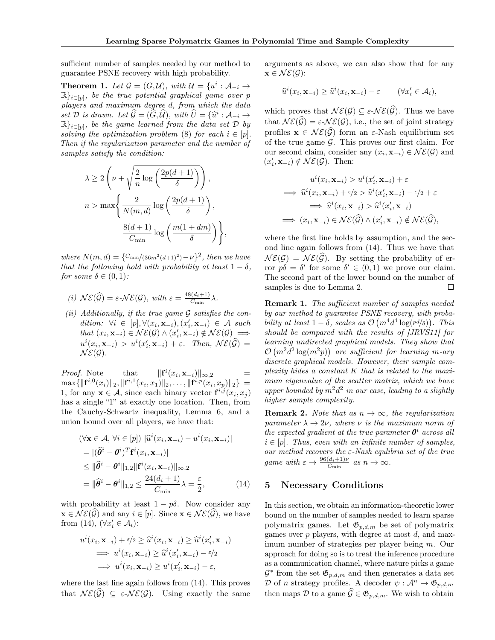sufficient number of samples needed by our method to guarantee PSNE recovery with high probability.

<span id="page-5-1"></span>**Theorem 1.** Let  $\mathcal{G} = (G, \mathcal{U})$ , with  $\mathcal{U} = \{u^i : \mathcal{A}_{-i} \to$  $\mathbb{R}$ <sub>i $\in$ </sub>[*p*]*, be the true potential graphical game over <i>p players and maximum degree d, from which the data set D is drawn.* Let  $\widehat{\mathcal{G}} = (\widehat{G}, \widehat{\mathcal{U}})$ *, with*  $\widehat{U} = \{\widehat{u}^i : \mathcal{A}_{-i} \to$  $\mathbb{R}$ <sub>i $\in$ [p]</sub>, be the game learned from the data set  $\mathcal{D}$  by *solving the optimization problem* [\(8\)](#page-3-2) *for each*  $i \in [p]$ *. Then if the regularization parameter and the number of samples satisfy the condition:*

$$
\begin{aligned} \lambda &\geq 2\left(\nu+\sqrt{\frac{2}{n}\log\left(\frac{2p(d+1)}{\delta}\right)}\right),\\ n &> \max\left\{\frac{2}{N(m,d)}\log\left(\frac{2p(d+1)}{\delta}\right),\\ &\frac{8(d+1)}{C_{\min}}\log\left(\frac{m(1+dm)}{\delta}\right)\right\}, \end{aligned}
$$

*where*  $N(m, d) = \{C_{\min}/(36m^2(d+1)^2) - \nu\}^2$ , then we have *that the following hold with probability at least*  $1 - \delta$ , *for some*  $\delta \in (0,1)$ *:* 

(i) 
$$
\mathcal{NE}(\widehat{\mathcal{G}}) = \varepsilon \cdot \mathcal{NE}(\mathcal{G}), \text{ with } \varepsilon = \frac{48(d_i+1)}{C_{\min}} \lambda.
$$

*(ii) Additionally, if the true game G satisfies the con-* $\forall i \in [p], \forall (x_i, \mathbf{x}_{-i}), (x'_i, \mathbf{x}_{-i}) \in \mathcal{A} \text{ such}$  $that (x_i, \mathbf{x}_{-i}) \in \mathcal{NE}(\mathcal{G}) \land (x'_i, \mathbf{x}_{-i}) \notin \mathcal{NE}(\mathcal{G}) \implies$  $u^i(x_i, \mathbf{x}_{-i}) > u^i(x'_i, \mathbf{x}_{-i}) + \varepsilon$ . Then,  $\mathcal{NE}(\widehat{\mathcal{G}}) =$  $N\mathcal{E}(\mathcal{G})$ .

*Proof.* Note that  $\|\mathbf{f}^i\|$  $\|\mathbf{f}^i(x_i, \mathbf{x}_{-i})\|_{\infty,2}$  $\max\{\|\mathbf{f}^{i,0}(x_i)\|_2, \|\mathbf{f}^{i,1}(x_i,x_1)\|_2,\ldots,\|\mathbf{f}^{i,p}(x_i,x_p)\|_2\} =$ 1, for any  $\mathbf{x} \in \mathcal{A}$ , since each binary vector  $\mathbf{f}^{i,j}(x_i, x_j)$ has a single "1" at exactly one location. Then, from the Cauchy-Schwartz inequality, Lemma [6,](#page-4-3) and a union bound over all players, we have that:

$$
(\forall \mathbf{x} \in \mathcal{A}, \forall i \in [p]) |\widehat{u}^{i}(x_{i}, \mathbf{x}_{-i}) - u^{i}(x_{i}, \mathbf{x}_{-i})|
$$
  
\n
$$
= |(\widehat{\theta}^{i} - \theta^{i})^{T} \mathbf{f}^{i}(x_{i}, \mathbf{x}_{-i})|
$$
  
\n
$$
\leq ||\widehat{\theta}^{i} - \theta^{i}||_{1,2} ||\mathbf{f}^{i}(x_{i}, \mathbf{x}_{-i})||_{\infty,2}
$$
  
\n
$$
= ||\widehat{\theta}^{i} - \theta^{i}||_{1,2} \leq \frac{24(d_{i} + 1)}{C_{\min}} \lambda = \frac{\varepsilon}{2},
$$
 (14)

with probability at least  $1 - p\delta$ . Now consider any  $\mathbf{x} \in \mathcal{NE}(\mathcal{G})$  and any  $i \in [p]$ . Since  $\mathbf{x} \in \mathcal{NE}(\mathcal{G})$ , we have from [\(14\)](#page-5-0),  $(\forall x'_i \in \mathcal{A}_i)$ :

$$
u^{i}(x_{i}, \mathbf{x}_{-i}) + \varepsilon/2 \geq \widehat{u}^{i}(x_{i}, \mathbf{x}_{-i}) \geq \widehat{u}^{i}(x'_{i}, \mathbf{x}_{-i})
$$
  
\n
$$
\implies u^{i}(x_{i}, \mathbf{x}_{-i}) \geq \widehat{u}^{i}(x'_{i}, \mathbf{x}_{-i}) - \varepsilon/2
$$
  
\n
$$
\implies u^{i}(x_{i}, \mathbf{x}_{-i}) \geq u^{i}(x'_{i}, \mathbf{x}_{-i}) - \varepsilon,
$$

where the last line again follows from  $(14)$ . This proves that  $N\mathcal{E}(\mathcal{G}) \subseteq \varepsilon \text{-}N\mathcal{E}(\mathcal{G})$ . Using exactly the same

arguments as above, we can also show that for any  $\mathbf{x} \in \mathcal{NE}(\mathcal{G})$ :

$$
\widehat{u}^i(x_i, \mathbf{x}_{-i}) \ge \widehat{u}^i(x_i, \mathbf{x}_{-i}) - \varepsilon \qquad (\forall x'_i \in \mathcal{A}_i),
$$

which proves that  $N\mathcal{E}(\mathcal{G}) \subseteq \varepsilon \text{-}N\mathcal{E}(\widehat{\mathcal{G}})$ . Thus we have that  $N\mathcal{E}(\widehat{\mathcal{G}}) = \varepsilon \text{-}N\mathcal{E}(\mathcal{G})$ , i.e., the set of joint strategy profiles  $\mathbf{x} \in \mathcal{NE}(\widehat{\mathcal{G}})$  form an  $\varepsilon$ -Nash equilibrium set of the true game *G*. This proves our first claim. For our second claim, consider any  $(x_i, \mathbf{x}_{-i}) \in \mathcal{NE}(\mathcal{G})$  and  $(x'_i, \mathbf{x}_{-i}) \notin \mathcal{NE}(\mathcal{G})$ . Then:

$$
u^{i}(x_{i}, \mathbf{x}_{-i}) > u^{i}(x'_{i}, \mathbf{x}_{-i}) + \varepsilon
$$
  
\n
$$
\implies \widehat{u}^{i}(x_{i}, \mathbf{x}_{-i}) + \varepsilon/2 > \widehat{u}^{i}(x'_{i}, \mathbf{x}_{-i}) - \varepsilon/2 + \varepsilon
$$
  
\n
$$
\implies \widehat{u}^{i}(x_{i}, \mathbf{x}_{-i}) > \widehat{u}^{i}(x'_{i}, \mathbf{x}_{-i})
$$
  
\n
$$
\implies (x_{i}, \mathbf{x}_{-i}) \in \mathcal{NE}(\widehat{\mathcal{G}}) \land (x'_{i}, \mathbf{x}_{-i}) \notin \mathcal{NE}(\widehat{\mathcal{G}}),
$$

where the first line holds by assumption, and the second line again follows from [\(14\)](#page-5-0). Thus we have that  $N\mathcal{E}(\mathcal{G}) = \mathcal{N}\mathcal{E}(\widehat{\mathcal{G}})$ . By setting the probability of error  $p\delta = \delta'$  for some  $\delta' \in (0,1)$  we prove our claim. The second part of the lower bound on the number of samples is due to Lemma [2.](#page-4-1)  $\Box$ 

**Remark 1.** *The sufficient number of samples needed by our method to guarantee PSNE recovery, with probability at least*  $1 - \delta$ , scales as  $\mathcal{O}(m^4 d^4 \log(p d/\delta))$ . This *should be compared with the results of [\[JRVS11\]](#page-8-10) for learning undirected graphical models. They show that*  $\mathcal{O}(m^2d^2\log(m^2p))$  are sufficient for learning *m*-ary *discrete graphical models. However, their sample complexity hides a constant K that is related to the maximum eigenvalue of the scatter matrix, which we have upper bounded by*  $m^2d^2$  *in our case, leading to a slightly higher sample complexity.*

**Remark 2.** *Note that as*  $n \to \infty$ *, the regularization parameter*  $\lambda \rightarrow 2\nu$ *, where*  $\nu$  *is the maximum norm of the expected gradient at the true parameter*  $\theta^i$  *across all*  $i \in [p]$ . Thus, even with an infinite number of samples, *our method recovers the*  $\varepsilon$ -Nash equilibria set of the true *game with*  $\varepsilon \to \frac{96(d_i+1)\nu}{C_{\min}}$  *as*  $n \to \infty$ .

#### <span id="page-5-0"></span>5 Necessary Conditions

In this section, we obtain an information-theoretic lower bound on the number of samples needed to learn sparse polymatrix games. Let  $\mathfrak{G}_{p,d,m}$  be set of polymatrix games over *p* players, with degree at most *d*, and maximum number of strategies per player being *m*. Our approach for doing so is to treat the inference procedure as a communication channel, where nature picks a game  $\mathcal{G}^*$  from the set  $\mathfrak{G}_{p,d,m}$  and then generates a data set *D* of *n* strategy profiles. A decoder  $\psi : \mathcal{A}^n \to \mathfrak{G}_{p,d,m}$ then maps  $\mathcal{D}$  to a game  $\widehat{\mathcal{G}} \in \mathfrak{G}_{p,d,m}$ . We wish to obtain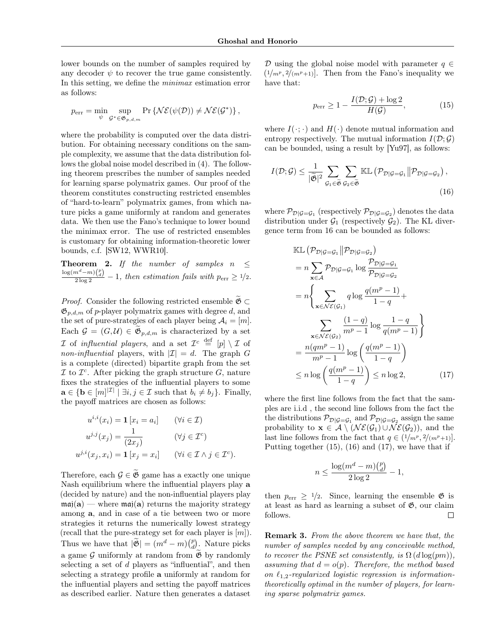lower bounds on the number of samples required by any decoder  $\psi$  to recover the true game consistently. In this setting, we define the *minimax* estimation error as follows:

$$
p_{\text{err}} = \min_{\psi} \sup_{\mathcal{G}^* \in \mathfrak{G}_{p,d,m}} \Pr \left\{ \mathcal{NE}(\psi(\mathcal{D})) \neq \mathcal{NE}(\mathcal{G}^*) \right\},\,
$$

where the probability is computed over the data distribution. For obtaining necessary conditions on the sample complexity, we assume that the data distribution follows the global noise model described in [\(4\)](#page-2-0). The following theorem prescribes the number of samples needed for learning sparse polymatrix games. Our proof of the theorem constitutes constructing restricted ensembles of "hard-to-learn" polymatrix games, from which nature picks a game uniformly at random and generates data. We then use the Fano's technique to lower bound the minimax error. The use of restricted ensembles is customary for obtaining information-theoretic lower bounds, c.f. [\[SW12,](#page-8-15) [WWR10\]](#page-8-16).

**Theorem 2.** If the number of samples  $n \leq$  $\frac{\log(m^d-m)\binom{p}{d}}{2\log 2} - 1$ , then estimation fails with  $p_{\text{err}} \ge 1/2$ .

*Proof.* Consider the following restricted ensemble  $\mathfrak{G} \subset \mathfrak{G}$  $\mathfrak{G}_{p,d,m}$  of *p*-player polymatrix games with degree *d*, and the set of pure-strategies of each player being  $A_i = [m]$ . Each  $\mathcal{G} = (G, \mathcal{U}) \in \widetilde{\mathfrak{G}}_{p,d,m}$  is characterized by a set *I* of *influential players*, and a set  $\mathcal{I}^c \stackrel{\text{def}}{=} [p] \setminus \mathcal{I}$  of *non-influential* players, with  $|I| = d$ . The graph *G* is a complete (directed) bipartite graph from the set  $\mathcal I$  to  $\mathcal I^c$ . After picking the graph structure  $G$ , nature fixes the strategies of the influential players to some  $\mathbf{a} \in {\mathbf{b} \in [m]^{|\mathcal{I}|}} \mid \exists i, j \in \mathcal{I} \text{ such that } b_i \neq b_j$ . Finally, the payoff matrices are chosen as follows:

$$
u^{i,i}(x_i) = \mathbf{1} [x_i = a_i] \qquad (\forall i \in \mathcal{I})
$$

$$
u^{j,j}(x_j) = \frac{1}{(2x_j)} \qquad (\forall j \in \mathcal{I}^c)
$$

$$
u^{j,i}(x_j, x_i) = \mathbf{1} [x_j = x_i] \qquad (\forall i \in \mathcal{I} \land j \in \mathcal{I}^c).
$$

Therefore, each  $\mathcal{G} \in \mathfrak{G}$  game has a exactly one unique Nash equilibrium where the influential players play a (decided by nature) and the non-influential players play  $maj(a)$  — where  $maj(a)$  returns the majority strategy among a, and in case of a tie between two or more strategies it returns the numerically lowest strategy (recall that the pure-strategy set for each player is [*m*]). Thus we have that  $|\widetilde{\mathfrak{G}}| = (m^d - m) {p \choose d}$ . Nature picks a game  $\mathcal G$  uniformly at random from  $\widetilde{\mathfrak G}$  by randomly selecting a set of *d* players as "influential", and then selecting a strategy profile a uniformly at random for the influential players and setting the payoff matrices as described earlier. Nature then generates a dataset

*D* using the global noise model with parameter  $q \in$  $(1/m^p, 2/(m^p+1))$ . Then from the Fano's inequality we have that:

<span id="page-6-1"></span><span id="page-6-0"></span>
$$
p_{\text{err}} \ge 1 - \frac{I(\mathcal{D}; \mathcal{G}) + \log 2}{H(\mathcal{G})},\tag{15}
$$

where  $I(\cdot; \cdot)$  and  $H(\cdot)$  denote mutual information and entropy respectively. The mutual information  $I(\mathcal{D}; \mathcal{G})$ can be bounded, using a result by [\[Yu97\]](#page-8-17), as follows:

$$
I(\mathcal{D}; \mathcal{G}) \leq \frac{1}{|\widetilde{\mathfrak{G}}|^2} \sum_{\mathcal{G}_1 \in \widetilde{\mathfrak{G}}} \sum_{\mathcal{G}_2 \in \widetilde{\mathfrak{G}}} \mathbb{KL}(\mathcal{P}_{\mathcal{D}|\mathcal{G}=\mathcal{G}_1} || \mathcal{P}_{\mathcal{D}|\mathcal{G}=\mathcal{G}_2}),
$$
\n(16)

where  $\mathcal{P}_{\mathcal{D}|\mathcal{G}=\mathcal{G}_1}$  (respectively  $\mathcal{P}_{\mathcal{D}|\mathcal{G}=\mathcal{G}_2}$ ) denotes the data distribution under  $\mathcal{G}_1$  (respectively  $\mathcal{G}_2$ ). The KL divergence term from [16](#page-6-0) can be bounded as follows:

$$
\mathbb{KL}\left(\mathcal{P}_{\mathcal{D}|\mathcal{G}=\mathcal{G}_1} \middle| \mathcal{P}_{\mathcal{D}|\mathcal{G}=\mathcal{G}_2}\right)
$$
\n
$$
= n \sum_{\mathbf{x} \in \mathcal{A}} \mathcal{P}_{\mathcal{D}|\mathcal{G}=\mathcal{G}_1} \log \frac{\mathcal{P}_{\mathcal{D}|\mathcal{G}=\mathcal{G}_1}}{\mathcal{P}_{\mathcal{D}|\mathcal{G}=\mathcal{G}_2}}
$$
\n
$$
= n \left\{ \sum_{\mathbf{x} \in \mathcal{N}\mathcal{E}(\mathcal{G}_1)} q \log \frac{q(m^p - 1)}{1 - q} + \sum_{\mathbf{x} \in \mathcal{N}\mathcal{E}(\mathcal{G}_2)} \frac{(1 - q)}{m^p - 1} \log \frac{1 - q}{q(m^p - 1)} \right\}
$$
\n
$$
= \frac{n(qm^p - 1)}{m^p - 1} \log \left(\frac{q(m^p - 1)}{1 - q}\right)
$$
\n
$$
\leq n \log \left(\frac{q(m^p - 1)}{1 - q}\right) \leq n \log 2,\tag{17}
$$

where the first line follows from the fact that the samples are i.i.d , the second line follows from the fact the the distributions  $\mathcal{P}_{\mathcal{D}|\mathcal{G}=\mathcal{G}_1}$  and  $\mathcal{P}_{\mathcal{D}|\mathcal{G}=\mathcal{G}_2}$  assign the same probability to  $\mathbf{x} \in \mathcal{A} \setminus (\mathcal{NE}(\mathcal{G}_1) \cup \mathcal{NE}(\mathcal{G}_2))$ , and the last line follows from the fact that  $q \in (1/m^p, 2/(m^p+1))$ . Putting together [\(15\)](#page-6-1), [\(16\)](#page-6-0) and [\(17\)](#page-6-2), we have that if

<span id="page-6-2"></span>
$$
n \le \frac{\log(m^d - m)\binom{p}{d}}{2\log 2} - 1,
$$

then  $p_{\text{err}} \geq 1/2$ . Since, learning the ensemble  $\mathfrak{G}$  is at least as hard as learning a subset of  $\mathfrak{G}$ , our claim follows.  $\Box$ 

Remark 3. *From the above theorem we have that, the number of samples needed by any conceivable method, to recover the PSNE set consistently, is*  $\Omega$  ( $d \log(pm)$ ), *assuming that*  $d = o(p)$ *. Therefore, the method based* on  $\ell_{1,2}$ -regularized logistic regression is information*theoretically optimal in the number of players, for learning sparse polymatrix games.*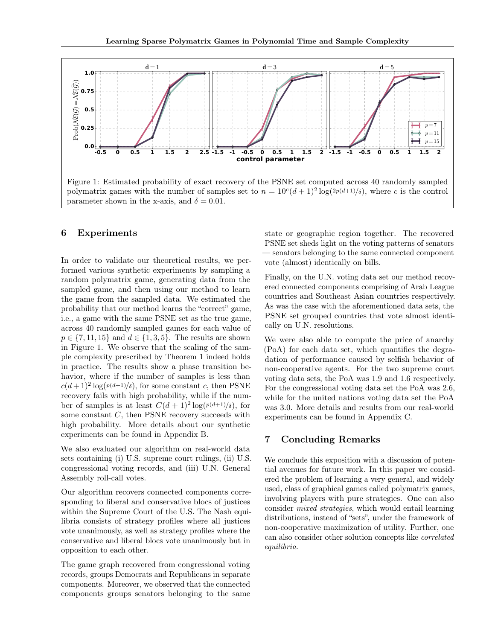

## <span id="page-7-0"></span>6 Experiments

In order to validate our theoretical results, we performed various synthetic experiments by sampling a random polymatrix game, generating data from the sampled game, and then using our method to learn the game from the sampled data. We estimated the probability that our method learns the "correct" game, i.e., a game with the same PSNE set as the true game, across 40 randomly sampled games for each value of  $p \in \{7, 11, 15\}$  and  $d \in \{1, 3, 5\}$ . The results are shown in Figure [1.](#page-7-0) We observe that the scaling of the sample complexity prescribed by Theorem [1](#page-5-1) indeed holds in practice. The results show a phase transition behavior, where if the number of samples is less than  $c(d+1)^2 \log(p(d+1)/\delta)$ , for some constant *c*, then PSNE recovery fails with high probability, while if the number of samples is at least  $C(d+1)^2 \log(p(d+1)/\delta)$ , for some constant *C*, then PSNE recovery succeeds with high probability. More details about our synthetic experiments can be found in Appendix [B.](#page-0-2)

We also evaluated our algorithm on real-world data sets containing (i) U.S. supreme court rulings, (ii) U.S. congressional voting records, and (iii) U.N. General Assembly roll-call votes.

Our algorithm recovers connected components corresponding to liberal and conservative blocs of justices within the Supreme Court of the U.S. The Nash equilibria consists of strategy profiles where all justices vote unanimously, as well as strategy profiles where the conservative and liberal blocs vote unanimously but in opposition to each other.

The game graph recovered from congressional voting records, groups Democrats and Republicans in separate components. Moreover, we observed that the connected components groups senators belonging to the same

state or geographic region together. The recovered PSNE set sheds light on the voting patterns of senators — senators belonging to the same connected component vote (almost) identically on bills.

Finally, on the U.N. voting data set our method recovered connected components comprising of Arab League countries and Southeast Asian countries respectively. As was the case with the aforementioned data sets, the PSNE set grouped countries that vote almost identically on U.N. resolutions.

We were also able to compute the price of anarchy (PoA) for each data set, which quantifies the degradation of performance caused by selfish behavior of non-cooperative agents. For the two supreme court voting data sets, the PoA was 1.9 and 1.6 respectively. For the congressional voting data set the PoA was 2.6, while for the united nations voting data set the PoA was 3.0. More details and results from our real-world experiments can be found in Appendix [C.](#page-0-3)

# 7 Concluding Remarks

We conclude this exposition with a discussion of potential avenues for future work. In this paper we considered the problem of learning a very general, and widely used, class of graphical games called polymatrix games, involving players with pure strategies. One can also consider *mixed strategies*, which would entail learning distributions, instead of "sets", under the framework of non-cooperative maximization of utility. Further, one can also consider other solution concepts like *correlated equilibria*.